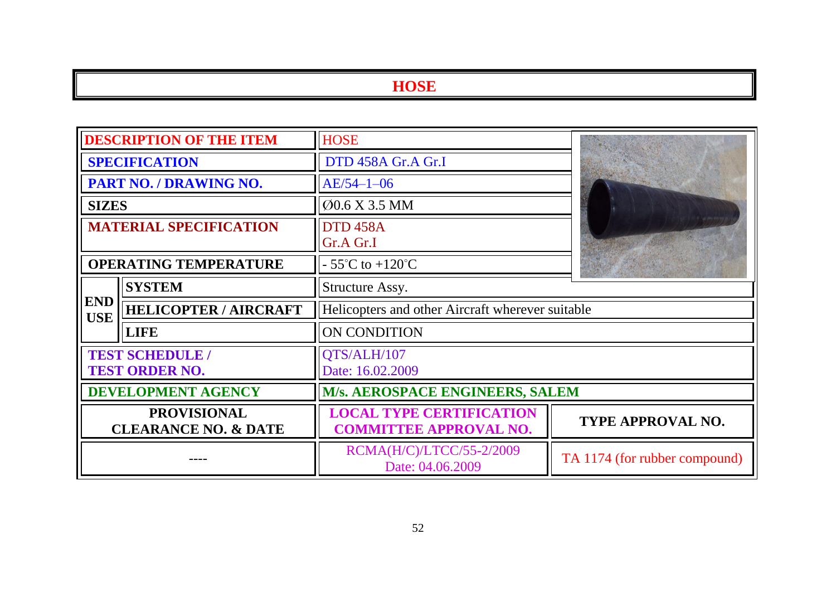| <b>DESCRIPTION OF THE ITEM</b>                        |                                                 | <b>HOSE</b>                                                      |                               |
|-------------------------------------------------------|-------------------------------------------------|------------------------------------------------------------------|-------------------------------|
| <b>SPECIFICATION</b>                                  |                                                 | DTD 458A Gr.A Gr.I                                               |                               |
| PART NO. / DRAWING NO.                                |                                                 | $AE/54-1-06$                                                     |                               |
| <b>SIZES</b>                                          |                                                 | Ø0.6 X 3.5 MM                                                    |                               |
| <b>MATERIAL SPECIFICATION</b>                         |                                                 | <b>DTD 458A</b><br>Gr.A Gr.I                                     |                               |
| <b>OPERATING TEMPERATURE</b>                          |                                                 | $-55^{\circ}$ C to $+120^{\circ}$ C                              | the form of the               |
|                                                       | <b>SYSTEM</b>                                   | Structure Assy.                                                  |                               |
| <b>END</b><br><b>USE</b>                              | <b>HELICOPTER / AIRCRAFT</b>                    | Helicopters and other Aircraft wherever suitable                 |                               |
|                                                       | <b>LIFE</b>                                     | ON CONDITION                                                     |                               |
|                                                       | <b>TEST SCHEDULE /</b><br><b>TEST ORDER NO.</b> | QTS/ALH/107<br>Date: 16.02.2009                                  |                               |
| <b>DEVELOPMENT AGENCY</b>                             |                                                 | M/s. AEROSPACE ENGINEERS, SALEM                                  |                               |
| <b>PROVISIONAL</b><br><b>CLEARANCE NO. &amp; DATE</b> |                                                 | <b>LOCAL TYPE CERTIFICATION</b><br><b>COMMITTEE APPROVAL NO.</b> | TYPE APPROVAL NO.             |
|                                                       |                                                 | RCMA(H/C)/LTCC/55-2/2009<br>Date: 04.06.2009                     | TA 1174 (for rubber compound) |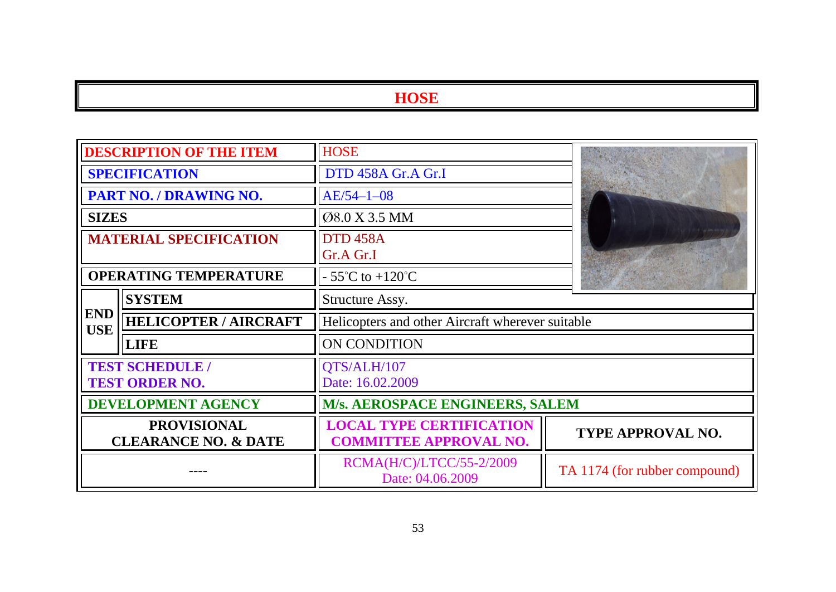| <b>DESCRIPTION OF THE ITEM</b>                        |                                                 | <b>HOSE</b>                                                      |                               |
|-------------------------------------------------------|-------------------------------------------------|------------------------------------------------------------------|-------------------------------|
| <b>SPECIFICATION</b>                                  |                                                 | DTD 458A Gr.A Gr.I                                               |                               |
| PART NO. / DRAWING NO.                                |                                                 | $AE/54 - 1 - 08$                                                 |                               |
| <b>SIZES</b>                                          |                                                 | Ø8.0 X 3.5 MM                                                    |                               |
| <b>MATERIAL SPECIFICATION</b>                         |                                                 | <b>DTD 458A</b><br>Gr.A Gr.I                                     |                               |
| <b>OPERATING TEMPERATURE</b>                          |                                                 | $-55^{\circ}$ C to $+120^{\circ}$ C                              |                               |
|                                                       | <b>SYSTEM</b>                                   | Structure Assy.                                                  |                               |
| <b>END</b><br><b>USE</b>                              | <b>HELICOPTER / AIRCRAFT</b>                    | Helicopters and other Aircraft wherever suitable                 |                               |
|                                                       | <b>LIFE</b>                                     | <b>ON CONDITION</b>                                              |                               |
|                                                       | <b>TEST SCHEDULE /</b><br><b>TEST ORDER NO.</b> | QTS/ALH/107<br>Date: 16.02.2009                                  |                               |
| <b>DEVELOPMENT AGENCY</b>                             |                                                 | M/s. AEROSPACE ENGINEERS, SALEM                                  |                               |
| <b>PROVISIONAL</b><br><b>CLEARANCE NO. &amp; DATE</b> |                                                 | <b>LOCAL TYPE CERTIFICATION</b><br><b>COMMITTEE APPROVAL NO.</b> | <b>TYPE APPROVAL NO.</b>      |
|                                                       |                                                 | RCMA(H/C)/LTCC/55-2/2009<br>Date: 04.06.2009                     | TA 1174 (for rubber compound) |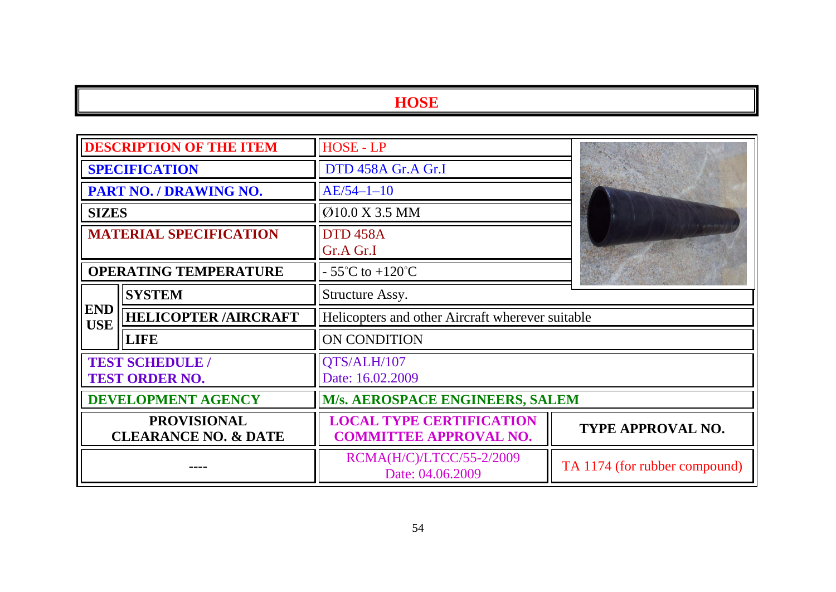| <b>DESCRIPTION OF THE ITEM</b>                        |                                                 | <b>HOSE - LP</b>                                                 |                               |
|-------------------------------------------------------|-------------------------------------------------|------------------------------------------------------------------|-------------------------------|
| <b>SPECIFICATION</b>                                  |                                                 | DTD 458A Gr.A Gr.I                                               |                               |
|                                                       | PART NO. / DRAWING NO.                          | $AE/54-1-10$                                                     |                               |
| <b>SIZES</b>                                          |                                                 | Ø10.0 X 3.5 MM                                                   |                               |
| <b>MATERIAL SPECIFICATION</b>                         |                                                 | <b>DTD 458A</b><br>Gr.A Gr.I                                     |                               |
| <b>OPERATING TEMPERATURE</b>                          |                                                 | $-55^{\circ}$ C to $+120^{\circ}$ C                              | on the Contractor             |
|                                                       | <b>SYSTEM</b>                                   | Structure Assy.                                                  |                               |
| <b>END</b><br><b>USE</b>                              | <b>HELICOPTER /AIRCRAFT</b>                     | Helicopters and other Aircraft wherever suitable                 |                               |
|                                                       | <b>LIFE</b>                                     | <b>ON CONDITION</b>                                              |                               |
|                                                       | <b>TEST SCHEDULE /</b><br><b>TEST ORDER NO.</b> | QTS/ALH/107<br>Date: 16.02.2009                                  |                               |
| <b>DEVELOPMENT AGENCY</b>                             |                                                 | M/s. AEROSPACE ENGINEERS, SALEM                                  |                               |
| <b>PROVISIONAL</b><br><b>CLEARANCE NO. &amp; DATE</b> |                                                 | <b>LOCAL TYPE CERTIFICATION</b><br><b>COMMITTEE APPROVAL NO.</b> | TYPE APPROVAL NO.             |
|                                                       |                                                 | RCMA(H/C)/LTCC/55-2/2009<br>Date: 04.06.2009                     | TA 1174 (for rubber compound) |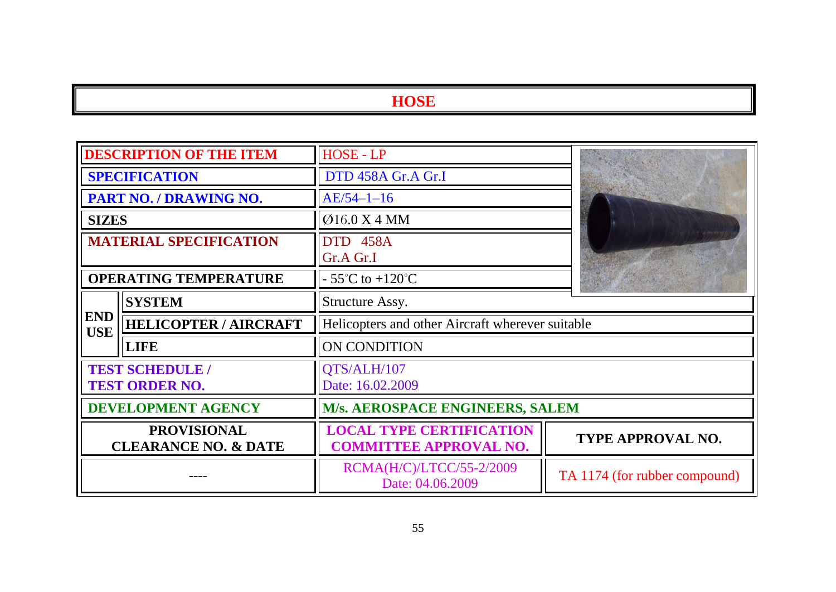| <b>DESCRIPTION OF THE ITEM</b>                        |                              | HOSE - LP                                                        |                               |
|-------------------------------------------------------|------------------------------|------------------------------------------------------------------|-------------------------------|
| <b>SPECIFICATION</b>                                  |                              | DTD 458A Gr.A Gr.I                                               |                               |
| PART NO. / DRAWING NO.                                |                              | $AE/54-1-16$                                                     |                               |
| <b>SIZES</b>                                          |                              | Ø16.0 X 4 MM                                                     |                               |
| <b>MATERIAL SPECIFICATION</b>                         |                              | <b>DTD 458A</b><br>Gr.A Gr.I                                     |                               |
| <b>OPERATING TEMPERATURE</b>                          |                              | $-55^{\circ}$ C to $+120^{\circ}$ C                              |                               |
|                                                       | <b>SYSTEM</b>                | Structure Assy.                                                  |                               |
| <b>END</b><br><b>USE</b>                              | <b>HELICOPTER / AIRCRAFT</b> | Helicopters and other Aircraft wherever suitable                 |                               |
|                                                       | <b>LIFE</b>                  | ON CONDITION                                                     |                               |
| <b>TEST SCHEDULE /</b><br><b>TEST ORDER NO.</b>       |                              | QTS/ALH/107<br>Date: 16.02.2009                                  |                               |
| <b>DEVELOPMENT AGENCY</b>                             |                              | M/s. AEROSPACE ENGINEERS, SALEM                                  |                               |
| <b>PROVISIONAL</b><br><b>CLEARANCE NO. &amp; DATE</b> |                              | <b>LOCAL TYPE CERTIFICATION</b><br><b>COMMITTEE APPROVAL NO.</b> | TYPE APPROVAL NO.             |
|                                                       |                              | RCMA(H/C)/LTCC/55-2/2009<br>Date: 04.06.2009                     | TA 1174 (for rubber compound) |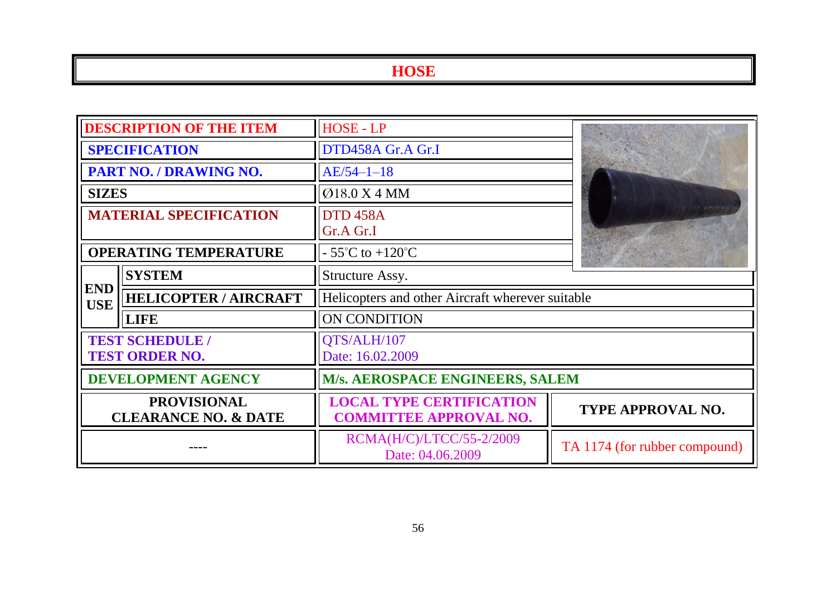| <b>DESCRIPTION OF THE ITEM</b>                        |                              | <b>HOSE - LP</b>                                                 |                               |
|-------------------------------------------------------|------------------------------|------------------------------------------------------------------|-------------------------------|
| <b>SPECIFICATION</b>                                  |                              | DTD458A Gr.A Gr.I                                                |                               |
| PART NO. / DRAWING NO.                                |                              | $AE/54-1-18$                                                     |                               |
| <b>SIZES</b>                                          |                              | Ø18.0 X 4 MM                                                     |                               |
| <b>MATERIAL SPECIFICATION</b>                         |                              | <b>DTD 458A</b><br>Gr.A Gr.I                                     |                               |
| <b>OPERATING TEMPERATURE</b>                          |                              | - 55 $\mathrm{^{\circ}C}$ to +120 $\mathrm{^{\circ}C}$           | With the Council              |
| <b>SYSTEM</b>                                         |                              | Structure Assy.                                                  |                               |
| <b>END</b><br><b>USE</b>                              | <b>HELICOPTER / AIRCRAFT</b> | Helicopters and other Aircraft wherever suitable                 |                               |
|                                                       | <b>LIFE</b>                  | ON CONDITION                                                     |                               |
| <b>TEST SCHEDULE /</b><br><b>TEST ORDER NO.</b>       |                              | QTS/ALH/107<br>Date: 16.02.2009                                  |                               |
| <b>DEVELOPMENT AGENCY</b>                             |                              | M/s. AEROSPACE ENGINEERS, SALEM                                  |                               |
| <b>PROVISIONAL</b><br><b>CLEARANCE NO. &amp; DATE</b> |                              | <b>LOCAL TYPE CERTIFICATION</b><br><b>COMMITTEE APPROVAL NO.</b> | <b>TYPE APPROVAL NO.</b>      |
|                                                       |                              | RCMA(H/C)/LTCC/55-2/2009<br>Date: 04.06.2009                     | TA 1174 (for rubber compound) |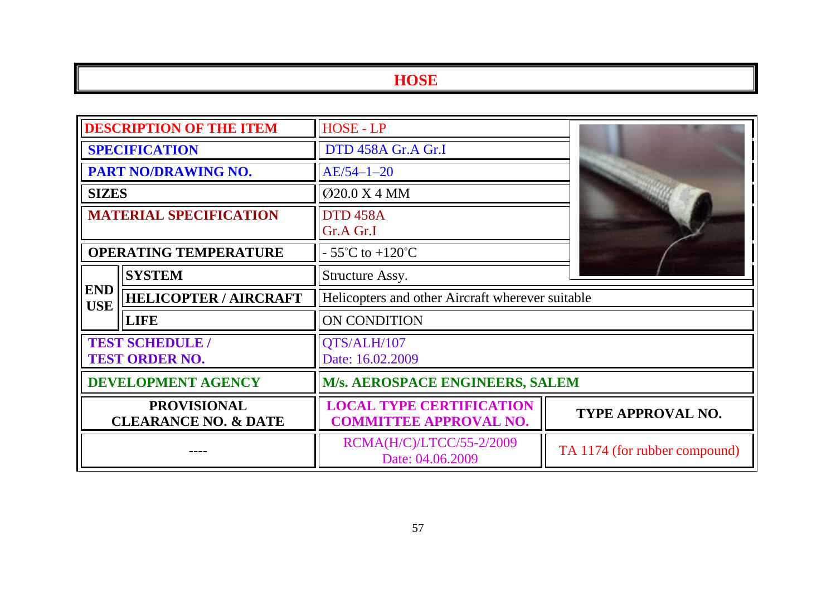| <b>DESCRIPTION OF THE ITEM</b>                                                               |             | HOSE - LP                                                        |                               |
|----------------------------------------------------------------------------------------------|-------------|------------------------------------------------------------------|-------------------------------|
| <b>SPECIFICATION</b>                                                                         |             | DTD 458A Gr.A Gr.I                                               |                               |
| <b>PART NO/DRAWING NO.</b>                                                                   |             | $AE/54 - 1 - 20$                                                 |                               |
| <b>SIZES</b>                                                                                 |             | Ø20.0 X 4 MM                                                     |                               |
| <b>MATERIAL SPECIFICATION</b>                                                                |             | <b>DTD 458A</b><br>Gr.A Gr.I                                     |                               |
| <b>OPERATING TEMPERATURE</b>                                                                 |             | $-55^{\circ}$ C to $+120^{\circ}$ C                              |                               |
| <b>SYSTEM</b><br>Structure Assy.<br><b>END</b><br><b>HELICOPTER / AIRCRAFT</b><br><b>USE</b> |             |                                                                  |                               |
|                                                                                              |             | Helicopters and other Aircraft wherever suitable                 |                               |
|                                                                                              | <b>LIFE</b> | ON CONDITION                                                     |                               |
| <b>TEST SCHEDULE /</b><br><b>TEST ORDER NO.</b>                                              |             | QTS/ALH/107<br>Date: 16.02.2009                                  |                               |
| <b>DEVELOPMENT AGENCY</b>                                                                    |             | M/s. AEROSPACE ENGINEERS, SALEM                                  |                               |
| <b>PROVISIONAL</b><br><b>CLEARANCE NO. &amp; DATE</b>                                        |             | <b>LOCAL TYPE CERTIFICATION</b><br><b>COMMITTEE APPROVAL NO.</b> | TYPE APPROVAL NO.             |
|                                                                                              |             | RCMA(H/C)/LTCC/55-2/2009<br>Date: 04.06.2009                     | TA 1174 (for rubber compound) |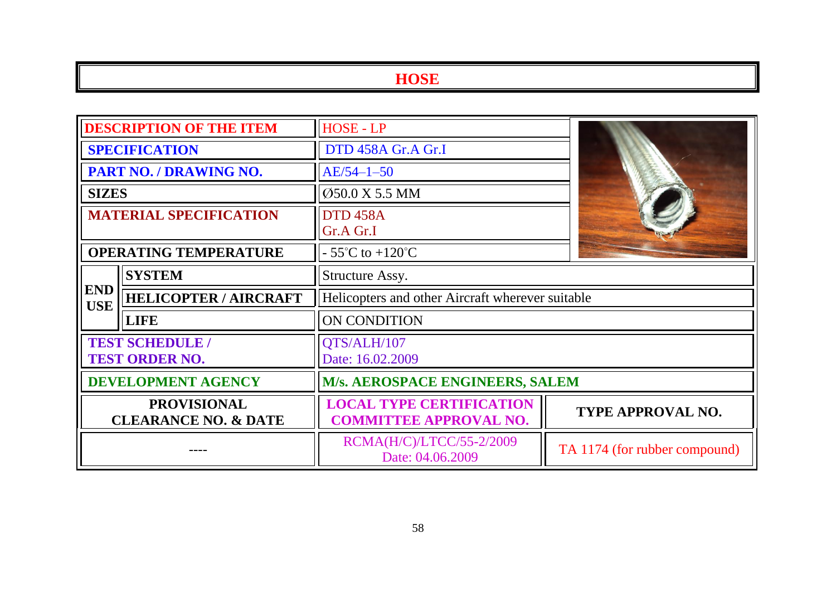| <b>DESCRIPTION OF THE ITEM</b>                        |                              | <b>HOSE - LP</b>                                                 |                               |
|-------------------------------------------------------|------------------------------|------------------------------------------------------------------|-------------------------------|
| <b>SPECIFICATION</b>                                  |                              | DTD 458A Gr.A Gr.I                                               |                               |
| PART NO. / DRAWING NO.                                |                              | $AE/54-1-50$                                                     |                               |
| <b>SIZES</b>                                          |                              | Ø50.0 X 5.5 MM                                                   |                               |
| <b>MATERIAL SPECIFICATION</b>                         |                              | <b>DTD 458A</b><br>Gr.A Gr.I                                     |                               |
| <b>OPERATING TEMPERATURE</b>                          |                              | $-55^{\circ}$ C to $+120^{\circ}$ C                              |                               |
| <b>SYSTEM</b>                                         |                              | Structure Assy.                                                  |                               |
| <b>END</b><br><b>USE</b>                              | <b>HELICOPTER / AIRCRAFT</b> | Helicopters and other Aircraft wherever suitable                 |                               |
|                                                       | <b>LIFE</b>                  | ON CONDITION                                                     |                               |
| <b>TEST SCHEDULE /</b><br><b>TEST ORDER NO.</b>       |                              | QTS/ALH/107<br>Date: 16.02.2009                                  |                               |
| <b>DEVELOPMENT AGENCY</b>                             |                              | <b>M/s. AEROSPACE ENGINEERS, SALEM</b>                           |                               |
| <b>PROVISIONAL</b><br><b>CLEARANCE NO. &amp; DATE</b> |                              | <b>LOCAL TYPE CERTIFICATION</b><br><b>COMMITTEE APPROVAL NO.</b> | <b>TYPE APPROVAL NO.</b>      |
|                                                       |                              | RCMA(H/C)/LTCC/55-2/2009<br>Date: 04.06.2009                     | TA 1174 (for rubber compound) |